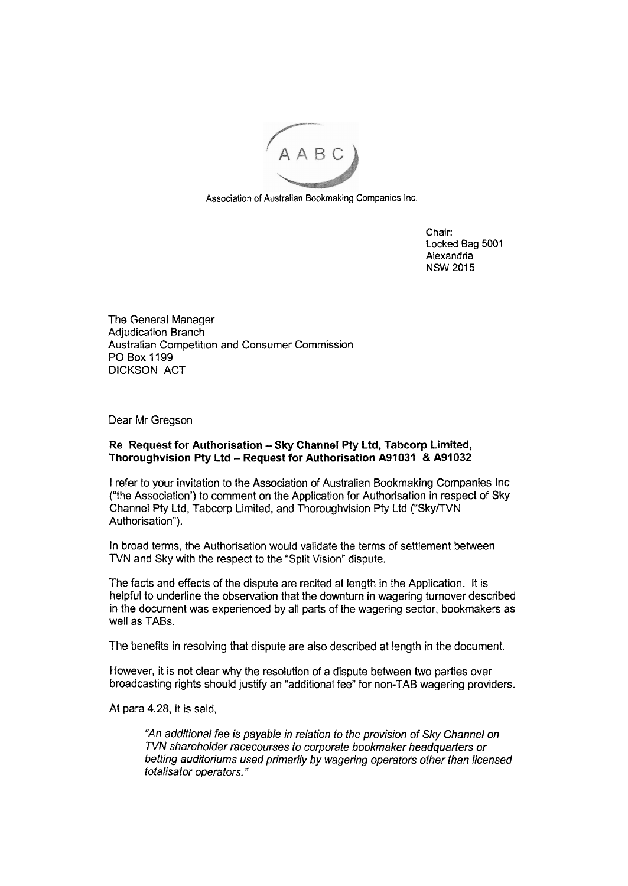

Association of Australian Bookmaking Companies Inc.

Chair: Locked Bag 5001 Alexandria NSW 2015

The General Manager Adjudication Branch Australian Competition and Consumer Commission PO Box 1199 DICKSON ACT

Dear Mr Gregson

## **Re Request for Authorisation -Sky Channel Pty Ltd, Tabcorp Limited, Thoroughvision Pty Ltd** - **Request for Authorisation A91031 8 A91032**

I refer to your invitation to the Association of Australian Bookmaking Companies Inc ("the Association') to comment on the Application for Authorisation in respect of Sky Channel Pty Ltd, Tabcorp Limited, and Thoroughvision Pty Ltd ("SkyTTVN Authorisation").

In broad terns, the Authorisation would validate the terms of settlement between TVN and Sky with the respect to the "Split Vision" dispute.

The facts and effects of the dispute are recited at length in the Application. It is helpful to underline the observation that the downturn in wagering turnover described in the document was experienced by all parts of the wagering sector, bookmakers as well as TABS.

The benefits in resolving that dispute are also described at length in the document.

However, it is not clear why the resolution of a dispute between two parties over broadcasting rights should justify an "additional fee" for non-TAB wagering providers.

At para 4.28, it is said,

"An additional fee is payable in relation to the provision of Sky Channel on TVN shareholder racecourses to corporate bookmaker headquarters or betting audiforiums used primarily by wagering operators other than licensed totalisator operators. "